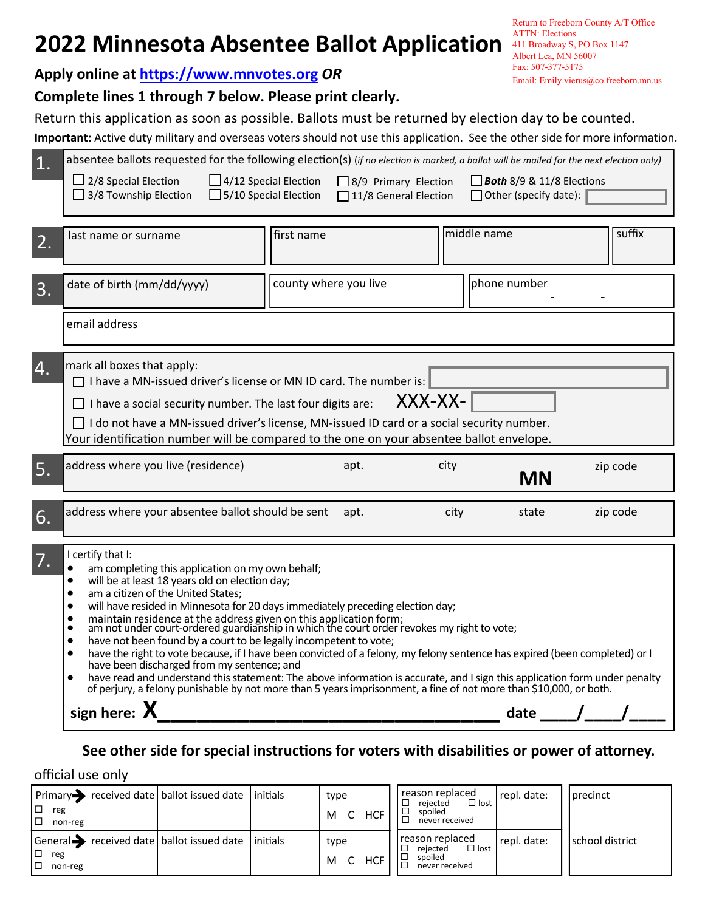# **2022 Minnesota Absentee Ballot Application All Broadway S, PO Box 1147**

**Apply online at https[://www.mnvotes.org](https://www.mnvotes.org)** *OR*

# **Complete lines 1 through 7 below. Please print clearly.**

Return this application as soon as possible. Ballots must be returned by election day to be counted.

Important: Active duty military and overseas voters should not use this application. See the other side for more information.

|                                                                                                                                                                                                                                                                                                                                                                                                                                                                                                                                                                                                                                                                                                                                                                                                                                                                                                                                                                                            |              | suffix   |
|--------------------------------------------------------------------------------------------------------------------------------------------------------------------------------------------------------------------------------------------------------------------------------------------------------------------------------------------------------------------------------------------------------------------------------------------------------------------------------------------------------------------------------------------------------------------------------------------------------------------------------------------------------------------------------------------------------------------------------------------------------------------------------------------------------------------------------------------------------------------------------------------------------------------------------------------------------------------------------------------|--------------|----------|
| middle name<br>first name<br>last name or surname<br>2.                                                                                                                                                                                                                                                                                                                                                                                                                                                                                                                                                                                                                                                                                                                                                                                                                                                                                                                                    |              |          |
| date of birth (mm/dd/yyyy)<br>county where you live<br>3.                                                                                                                                                                                                                                                                                                                                                                                                                                                                                                                                                                                                                                                                                                                                                                                                                                                                                                                                  | phone number |          |
| email address                                                                                                                                                                                                                                                                                                                                                                                                                                                                                                                                                                                                                                                                                                                                                                                                                                                                                                                                                                              |              |          |
| mark all boxes that apply:<br>4.<br>$\Box$ I have a MN-issued driver's license or MN ID card. The number is:<br>XXX-XX-<br>$\Box$ I have a social security number. The last four digits are:<br>$\Box$ I do not have a MN-issued driver's license, MN-issued ID card or a social security number.<br>Your identification number will be compared to the one on your absentee ballot envelope.                                                                                                                                                                                                                                                                                                                                                                                                                                                                                                                                                                                              |              |          |
| address where you live (residence)<br>apt.<br>city<br>5.                                                                                                                                                                                                                                                                                                                                                                                                                                                                                                                                                                                                                                                                                                                                                                                                                                                                                                                                   | <b>MN</b>    | zip code |
| address where your absentee ballot should be sent<br>apt.<br>city<br>6.                                                                                                                                                                                                                                                                                                                                                                                                                                                                                                                                                                                                                                                                                                                                                                                                                                                                                                                    | state        | zip code |
| I certify that I:<br>7.<br>am completing this application on my own behalf;<br>will be at least 18 years old on election day;<br>$\bullet$<br>am a citizen of the United States;<br>$\bullet$<br>will have resided in Minnesota for 20 days immediately preceding election day;<br>$\bullet$<br>maintain residence at the address given on this application form;<br>am not under court-ordered guardianship in which the court order revokes my right to vote;<br>$\bullet$<br>$\bullet$<br>have not been found by a court to be legally incompetent to vote;<br>$\bullet$<br>have the right to vote because, if I have been convicted of a felony, my felony sentence has expired (been completed) or I<br>have been discharged from my sentence; and<br>have read and understand this statement: The above information is accurate, and I sign this application form under penalty of perjury, a felony punishable by not more than 5 years imprisonment, a fine of not more than \$10, |              |          |
| sign here: $X$                                                                                                                                                                                                                                                                                                                                                                                                                                                                                                                                                                                                                                                                                                                                                                                                                                                                                                                                                                             | date         |          |

# **See other side for special instructions for voters with disabilities or power of attorney.**

official use only

| ∣ □<br>reg<br>IП<br>non-reg | $ Primary\rangle$ received date   ballot issued date   initials      | type<br>HCF<br>м | reason replaced<br>$\Box$ lost<br>rejected<br>spoiled<br>never received | repl. date: | precinct        |
|-----------------------------|----------------------------------------------------------------------|------------------|-------------------------------------------------------------------------|-------------|-----------------|
| IП<br>reg<br>IП<br>non-reg  | $\sqrt{\frac{1}{100}}$ received date   ballot issued date   initials | type<br>HCF<br>M | reason replaced<br>$\Box$ lost<br>rejected<br>spoiled<br>never received | repl. date: | school district |

Return to Freeborn County A/T Office ATTN: Elections Albert Lea, MN 56007 Fax: 507-377-5175 Email: Emily.vierus@co.freeborn.mn.us